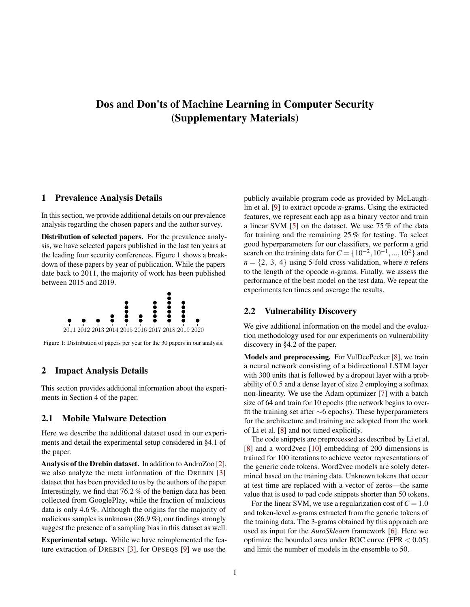# <span id="page-0-1"></span>Dos and Don'ts of Machine Learning in Computer Security (Supplementary Materials)

#### 1 Prevalence Analysis Details

In this section, we provide additional details on our prevalence analysis regarding the chosen papers and the author survey.

Distribution of selected papers. For the prevalence analysis, we have selected papers published in the last ten years at the leading four security conferences. [Figure 1](#page-0-0) shows a breakdown of these papers by year of publication. While the papers date back to 2011, the majority of work has been published between 2015 and 2019.

<span id="page-0-0"></span>

Figure 1: Distribution of papers per year for the 30 papers in our analysis.

# 2 Impact Analysis Details

This section provides additional information about the experiments in Section 4 of the paper.

#### 2.1 Mobile Malware Detection

Here we describe the additional dataset used in our experiments and detail the experimental setup considered in §4.1 of the paper.

Analysis of the Drebin dataset. In addition to AndroZoo [\[2\]](#page-1-0), we also analyze the meta information of the DREBIN [\[3\]](#page-1-1) dataset that has been provided to us by the authors of the paper. Interestingly, we find that 76.2 % of the benign data has been collected from GooglePlay, while the fraction of malicious data is only 4.6 %. Although the origins for the majority of malicious samples is unknown (86.9 %), our findings strongly suggest the presence of a sampling bias in this dataset as well.

Experimental setup. While we have reimplemented the feature extraction of DREBIN [\[3\]](#page-1-1), for OPSEQS [\[9\]](#page-2-0) we use the

publicly available program code as provided by McLaughlin et al. [\[9\]](#page-2-0) to extract opcode *n*-grams. Using the extracted features, we represent each app as a binary vector and train a linear SVM [\[5\]](#page-1-2) on the dataset. We use 75 % of the data for training and the remaining 25 % for testing. To select good hyperparameters for our classifiers, we perform a grid search on the training data for  $C = \{10^{-2}, 10^{-1}, ..., 10^{2}\}\$ and  $n = \{2, 3, 4\}$  using 5-fold cross validation, where *n* refers to the length of the opcode *n*-grams. Finally, we assess the performance of the best model on the test data. We repeat the experiments ten times and average the results.

### <span id="page-0-2"></span>2.2 Vulnerability Discovery

We give additional information on the model and the evaluation methodology used for our experiments on vulnerability discovery in §4.2 of the paper.

Models and preprocessing. For VulDeePecker [\[8\]](#page-2-1), we train a neural network consisting of a bidirectional LSTM layer with 300 units that is followed by a dropout layer with a probability of 0.5 and a dense layer of size 2 employing a softmax non-linearity. We use the Adam optimizer [\[7\]](#page-2-2) with a batch size of 64 and train for 10 epochs (the network begins to overfit the training set after ∼6 epochs). These hyperparameters for the architecture and training are adopted from the work of Li et al. [\[8\]](#page-2-1) and not tuned explicitly.

The code snippets are preprocessed as described by Li et al. [\[8\]](#page-2-1) and a word2vec [\[10\]](#page-2-3) embedding of 200 dimensions is trained for 100 iterations to achieve vector representations of the generic code tokens. Word2vec models are solely determined based on the training data. Unknown tokens that occur at test time are replaced with a vector of zeros—the same value that is used to pad code snippets shorter than 50 tokens.

For the linear SVM, we use a regularization cost of  $C = 1.0$ and token-level *n*-grams extracted from the generic tokens of the training data. The 3-grams obtained by this approach are used as input for the *AutoSklearn* framework [\[6\]](#page-2-4). Here we optimize the bounded area under ROC curve (FPR  $< 0.05$ ) and limit the number of models in the ensemble to 50.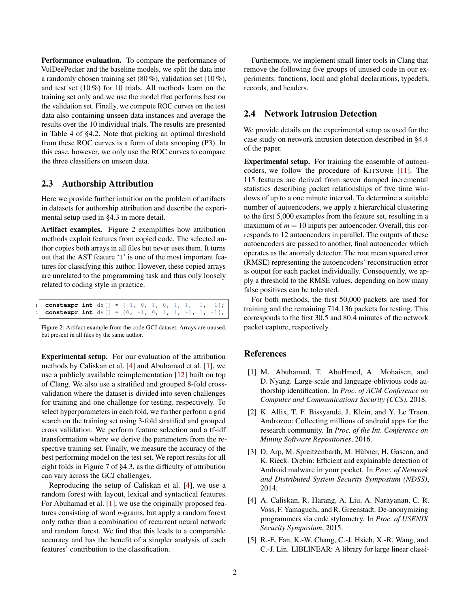Performance evaluation. To compare the performance of VulDeePecker and the baseline models, we split the data into a randomly chosen training set  $(80\%)$ , validation set  $(10\%)$ , and test set (10 %) for 10 trials. All methods learn on the training set only and we use the model that performs best on the validation set. Finally, we compute ROC curves on the test data also containing unseen data instances and average the results over the 10 individual trials. The results are presented in [Table 4](#page-0-1) of [§4.2.](#page-0-1) Note that picking an optimal threshold from these ROC curves is a form of [data snooping](#page-0-2) [\(P3\)](#page-0-2). In this case, however, we only use the ROC curves to compare the three classifiers on unseen data.

## 2.3 Authorship Attribution

Here we provide further intuition on the problem of artifacts in datasets for authorship attribution and describe the experimental setup used in [§4.3](#page-0-1) in more detail.

Artifact examples. [Figure 2](#page-1-3) exemplifies how attribution methods exploit features from copied code. The selected author copies both arrays in all files but never uses them. It turns out that the AST feature '1' is one of the most important features for classifying this author. However, these copied arrays are unrelated to the programming task and thus only loosely related to coding style in practice.

<span id="page-1-3"></span>

| 1 constexpr int $dx$ [] = {-1, 0, 1, 0, 1, 1, -1, -1};         |  |  |  |  |  |  |
|----------------------------------------------------------------|--|--|--|--|--|--|
| 2 <b>constexpr int</b> $dy$ $[$ = {0, -1, 0, 1, 1, -1, 1, -1}; |  |  |  |  |  |  |

Figure 2: Artifact example from the code GCJ dataset. Arrays are unused, but present in all files by the same author.

Experimental setup. For our evaluation of the attribution methods by Caliskan et al. [\[4\]](#page-1-4) and Abuhamad et al. [\[1\]](#page-1-5), we use a publicly available reimplementation [\[12\]](#page-2-5) built on top of Clang. We also use a stratified and grouped 8-fold crossvalidation where the dataset is divided into seven challenges for training and one challenge for testing, respectively. To select hyperparameters in each fold, we further perform a grid search on the training set using 3-fold stratified and grouped cross validation. We perform feature selection and a tf-idf transformation where we derive the parameters from the respective training set. Finally, we measure the accuracy of the best performing model on the test set. We report results for all eight folds in [Figure 7](#page-0-1) of [§4.3,](#page-0-1) as the difficulty of attribution can vary across the GCJ challenges.

Reproducing the setup of Caliskan et al. [\[4\]](#page-1-4), we use a random forest with layout, lexical and syntactical features. For Abuhamad et al. [\[1\]](#page-1-5), we use the originally proposed features consisting of word *n*-grams, but apply a random forest only rather than a combination of recurrent neural network and random forest. We find that this leads to a comparable accuracy and has the benefit of a simpler analysis of each features' contribution to the classification.

Furthermore, we implement small linter tools in Clang that remove the following five groups of unused code in our experiments: functions, local and global declarations, typedefs, records, and headers.

## 2.4 Network Intrusion Detection

We provide details on the experimental setup as used for the case study on network intrusion detection described in [§4.4](#page-0-1) of the paper.

Experimental setup. For training the ensemble of autoencoders, we follow the procedure of KITSUNE [\[11\]](#page-2-6). The 115 features are derived from seven damped incremental statistics describing packet relationships of five time windows of up to a one minute interval. To determine a suitable number of autoencoders, we apply a hierarchical clustering to the first 5,000 examples from the feature set, resulting in a maximum of  $m = 10$  inputs per autoencoder. Overall, this corresponds to 12 autoencoders in parallel. The outputs of these autoencoders are passed to another, final autoencoder which operates as the anomaly detector. The root mean squared error (RMSE) representing the autoencoders' reconstruction error is output for each packet individually. Consequently, we apply a threshold to the RMSE values, depending on how many false positives can be tolerated.

For both methods, the first 50,000 packets are used for training and the remaining 714,136 packets for testing. This corresponds to the first 30.5 and 80.4 minutes of the network packet capture, respectively.

## References

- <span id="page-1-5"></span>[1] M. Abuhamad, T. AbuHmed, A. Mohaisen, and D. Nyang. Large-scale and language-oblivious code authorship identification. In *Proc. of ACM Conference on Computer and Communications Security (CCS)*, 2018.
- <span id="page-1-0"></span>[2] K. Allix, T. F. Bissyandé, J. Klein, and Y. Le Traon. Androzoo: Collecting millions of android apps for the research community. In *Proc. of the Int. Conference on Mining Software Repositories*, 2016.
- <span id="page-1-1"></span>[3] D. Arp, M. Spreitzenbarth, M. Hübner, H. Gascon, and K. Rieck. Drebin: Efficient and explainable detection of Android malware in your pocket. In *Proc. of Network and Distributed System Security Symposium (NDSS)*, 2014.
- <span id="page-1-4"></span>[4] A. Caliskan, R. Harang, A. Liu, A. Narayanan, C. R. Voss, F. Yamaguchi, and R. Greenstadt. De-anonymizing programmers via code stylometry. In *Proc. of USENIX Security Symposium*, 2015.
- <span id="page-1-2"></span>[5] R.-E. Fan, K.-W. Chang, C.-J. Hsieh, X.-R. Wang, and C.-J. Lin. LIBLINEAR: A library for large linear classi-